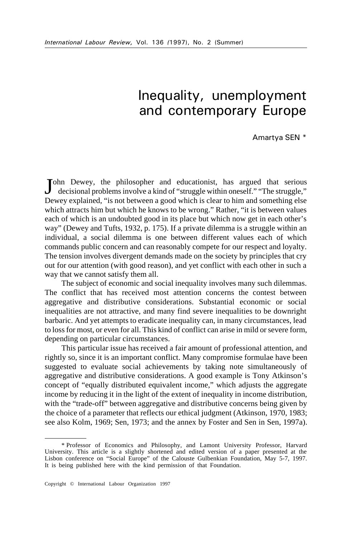# Inequality, unemployment and contemporary Europe

Amartya SEN \*

John Dewey, the philosopher and educationist, has argued that serious decisional problems involve a kind of "struggle within oneself." "The struggle," decisional problems involve a kind of "struggle within oneself." "The struggle," Dewey explained, "is not between a good which is clear to him and something else which attracts him but which he knows to be wrong." Rather, "it is between values each of which is an undoubted good in its place but which now get in each other's way" (Dewey and Tufts, 1932, p. 175). If a private dilemma is a struggle within an individual, a social dilemma is one between different values each of which commands public concern and can reasonably compete for our respect and loyalty. The tension involves divergent demands made on the society by principles that cry out for our attention (with good reason), and yet conflict with each other in such a way that we cannot satisfy them all.

The subject of economic and social inequality involves many such dilemmas. The conflict that has received most attention concerns the contest between aggregative and distributive considerations. Substantial economic or social inequalities are not attractive, and many find severe inequalities to be downright barbaric. And yet attempts to eradicate inequality can, in many circumstances, lead to loss for most, or even for all. This kind of conflict can arise in mild or severe form, depending on particular circumstances.

This particular issue has received a fair amount of professional attention, and rightly so, since it is an important conflict. Many compromise formulae have been suggested to evaluate social achievements by taking note simultaneously of aggregative and distributive considerations. A good example is Tony Atkinson's concept of "equally distributed equivalent income," which adjusts the aggregate income by reducing it in the light of the extent of inequality in income distribution, with the "trade-off" between aggregative and distributive concerns being given by the choice of a parameter that reflects our ethical judgment (Atkinson, 1970, 1983; see also Kolm, 1969; Sen, 1973; and the annex by Foster and Sen in Sen, 1997a).

<sup>\*</sup> Professor of Economics and Philosophy, and Lamont University Professor, Harvard University. This article is a slightly shortened and edited version of a paper presented at the Lisbon conference on "Social Europe" of the Calouste Gulbenkian Foundation, May 5-7, 1997. It is being published here with the kind permission of that Foundation.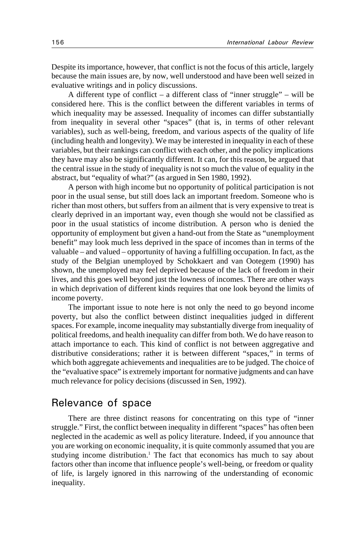Despite its importance, however, that conflict is not the focus of this article, largely because the main issues are, by now, well understood and have been well seized in evaluative writings and in policy discussions.

A different type of conflict – a different class of "inner struggle" – will be considered here. This is the conflict between the different variables in terms of which inequality may be assessed. Inequality of incomes can differ substantially from inequality in several other "spaces" (that is, in terms of other relevant variables), such as well-being, freedom, and various aspects of the quality of life (including health and longevity). We may be interested in inequality in each of these variables, but their rankings can conflict with each other, and the policy implications they have may also be significantly different. It can, for this reason, be argued that the central issue in the study of inequality is not so much the value of equality in the abstract, but "equality of what?" (as argued in Sen 1980, 1992).

A person with high income but no opportunity of political participation is not poor in the usual sense, but still does lack an important freedom. Someone who is richer than most others, but suffers from an ailment that is very expensive to treat is clearly deprived in an important way, even though she would not be classified as poor in the usual statistics of income distribution. A person who is denied the opportunity of employment but given a hand-out from the State as "unemployment benefit" may look much less deprived in the space of incomes than in terms of the valuable – and valued – opportunity of having a fulfilling occupation. In fact, as the study of the Belgian unemployed by Schokkaert and van Ootegem (1990) has shown, the unemployed may feel deprived because of the lack of freedom in their lives, and this goes well beyond just the lowness of incomes. There are other ways in which deprivation of different kinds requires that one look beyond the limits of income poverty.

The important issue to note here is not only the need to go beyond income poverty, but also the conflict between distinct inequalities judged in different spaces. For example, income inequality may substantially diverge from inequality of political freedoms, and health inequality can differ from both. We do have reason to attach importance to each. This kind of conflict is not between aggregative and distributive considerations; rather it is between different "spaces," in terms of which both aggregate achievements and inequalities are to be judged. The choice of the "evaluative space" is extremely important for normative judgments and can have much relevance for policy decisions (discussed in Sen, 1992).

### Relevance of space

There are three distinct reasons for concentrating on this type of "inner struggle." First, the conflict between inequality in different "spaces" has often been neglected in the academic as well as policy literature. Indeed, if you announce that you are working on economic inequality, it is quite commonly assumed that you are studying income distribution.<sup>1</sup> The fact that economics has much to say about factors other than income that influence people's well-being, or freedom or quality of life, is largely ignored in this narrowing of the understanding of economic inequality.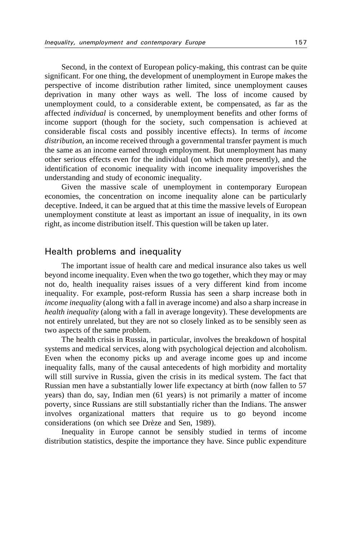Second, in the context of European policy-making, this contrast can be quite significant. For one thing, the development of unemployment in Europe makes the perspective of income distribution rather limited, since unemployment causes deprivation in many other ways as well. The loss of income caused by unemployment could, to a considerable extent, be compensated, as far as the affected *individual* is concerned, by unemployment benefits and other forms of income support (though for the society, such compensation is achieved at considerable fiscal costs and possibly incentive effects). In terms of *income distribution*, an income received through a governmental transfer payment is much the same as an income earned through employment. But unemployment has many other serious effects even for the individual (on which more presently), and the identification of economic inequality with income inequality impoverishes the understanding and study of economic inequality.

Given the massive scale of unemployment in contemporary European economies, the concentration on income inequality alone can be particularly deceptive. Indeed, it can be argued that at this time the massive levels of European unemployment constitute at least as important an issue of inequality, in its own right, as income distribution itself. This question will be taken up later.

### Health problems and inequality

The important issue of health care and medical insurance also takes us well beyond income inequality. Even when the two go together, which they may or may not do, health inequality raises issues of a very different kind from income inequality. For example, post-reform Russia has seen a sharp increase both in *income inequality* (along with a fall in average income) and also a sharp increase in *health inequality* (along with a fall in average longevity). These developments are not entirely unrelated, but they are not so closely linked as to be sensibly seen as two aspects of the same problem.

The health crisis in Russia, in particular, involves the breakdown of hospital systems and medical services, along with psychological dejection and alcoholism. Even when the economy picks up and average income goes up and income inequality falls, many of the causal antecedents of high morbidity and mortality will still survive in Russia, given the crisis in its medical system. The fact that Russian men have a substantially lower life expectancy at birth (now fallen to 57 years) than do, say, Indian men (61 years) is not primarily a matter of income poverty, since Russians are still substantially richer than the Indians. The answer involves organizational matters that require us to go beyond income considerations (on which see Drèze and Sen, 1989).

Inequality in Europe cannot be sensibly studied in terms of income distribution statistics, despite the importance they have. Since public expenditure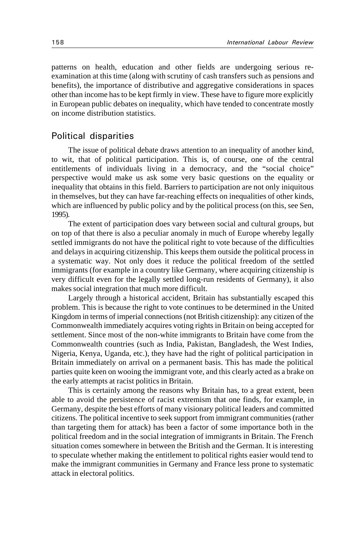patterns on health, education and other fields are undergoing serious reexamination at this time (along with scrutiny of cash transfers such as pensions and benefits), the importance of distributive and aggregative considerations in spaces other than income has to be kept firmly in view. These have to figure more explicitly in European public debates on inequality, which have tended to concentrate mostly on income distribution statistics.

#### Political disparities

The issue of political debate draws attention to an inequality of another kind, to wit, that of political participation. This is, of course, one of the central entitlements of individuals living in a democracy, and the "social choice" perspective would make us ask some very basic questions on the equality or inequality that obtains in this field. Barriers to participation are not only iniquitous in themselves, but they can have far-reaching effects on inequalities of other kinds, which are influenced by public policy and by the political process (on this, see Sen, 1995).

The extent of participation does vary between social and cultural groups, but on top of that there is also a peculiar anomaly in much of Europe whereby legally settled immigrants do not have the political right to vote because of the difficulties and delays in acquiring citizenship. This keeps them outside the political process in a systematic way. Not only does it reduce the political freedom of the settled immigrants (for example in a country like Germany, where acquiring citizenship is very difficult even for the legally settled long-run residents of Germany), it also makes social integration that much more difficult.

Largely through a historical accident, Britain has substantially escaped this problem. This is because the right to vote continues to be determined in the United Kingdom in terms of imperial connections (not British citizenship): any citizen of the Commonwealth immediately acquires voting rights in Britain on being accepted for settlement. Since most of the non-white immigrants to Britain have come from the Commonwealth countries (such as India, Pakistan, Bangladesh, the West Indies, Nigeria, Kenya, Uganda, etc.), they have had the right of political participation in Britain immediately on arrival on a permanent basis. This has made the political parties quite keen on wooing the immigrant vote, and this clearly acted as a brake on the early attempts at racist politics in Britain.

This is certainly among the reasons why Britain has, to a great extent, been able to avoid the persistence of racist extremism that one finds, for example, in Germany, despite the best efforts of many visionary political leaders and committed citizens. The political incentive to seek support from immigrant communities (rather than targeting them for attack) has been a factor of some importance both in the political freedom and in the social integration of immigrants in Britain. The French situation comes somewhere in between the British and the German. It is interesting to speculate whether making the entitlement to political rights easier would tend to make the immigrant communities in Germany and France less prone to systematic attack in electoral politics.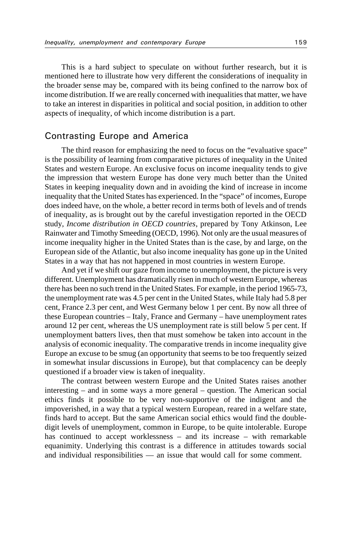This is a hard subject to speculate on without further research, but it is mentioned here to illustrate how very different the considerations of inequality in the broader sense may be, compared with its being confined to the narrow box of income distribution. If we are really concerned with inequalities that matter, we have to take an interest in disparities in political and social position, in addition to other aspects of inequality, of which income distribution is a part.

#### Contrasting Europe and America

The third reason for emphasizing the need to focus on the "evaluative space" is the possibility of learning from comparative pictures of inequality in the United States and western Europe. An exclusive focus on income inequality tends to give the impression that western Europe has done very much better than the United States in keeping inequality down and in avoiding the kind of increase in income inequality that the United States has experienced. In the "space" of incomes, Europe does indeed have, on the whole, a better record in terms both of levels and of trends of inequality, as is brought out by the careful investigation reported in the OECD study, *Income distribution in OECD countries*, prepared by Tony Atkinson, Lee Rainwater and Timothy Smeeding (OECD, 1996). Not only are the usual measures of income inequality higher in the United States than is the case, by and large, on the European side of the Atlantic, but also income inequality has gone up in the United States in a way that has not happened in most countries in western Europe.

And yet if we shift our gaze from income to unemployment, the picture is very different. Unemployment has dramatically risen in much of western Europe, whereas there has been no such trend in the United States. For example, in the period 1965-73, the unemployment rate was 4.5 per cent in the United States, while Italy had 5.8 per cent, France 2.3 per cent, and West Germany below 1 per cent. By now all three of these European countries – Italy, France and Germany – have unemployment rates around 12 per cent, whereas the US unemployment rate is still below 5 per cent. If unemployment batters lives, then that must somehow be taken into account in the analysis of economic inequality. The comparative trends in income inequality give Europe an excuse to be smug (an opportunity that seems to be too frequently seized in somewhat insular discussions in Europe), but that complacency can be deeply questioned if a broader view is taken of inequality.

The contrast between western Europe and the United States raises another interesting – and in some ways a more general – question. The American social ethics finds it possible to be very non-supportive of the indigent and the impoverished, in a way that a typical western European, reared in a welfare state, finds hard to accept. But the same American social ethics would find the doubledigit levels of unemployment, common in Europe, to be quite intolerable. Europe has continued to accept worklessness – and its increase – with remarkable equanimity. Underlying this contrast is a difference in attitudes towards social and individual responsibilities — an issue that would call for some comment.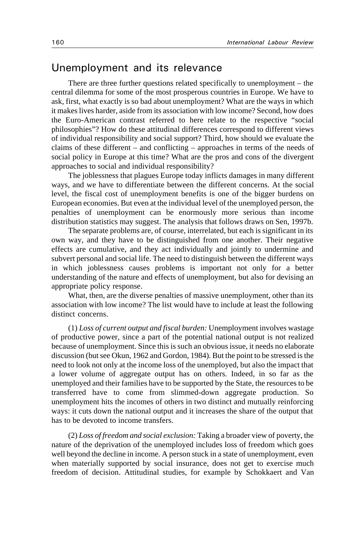## Unemployment and its relevance

There are three further questions related specifically to unemployment – the central dilemma for some of the most prosperous countries in Europe. We have to ask, first, what exactly is so bad about unemployment? What are the ways in which it makes lives harder, aside from its association with low income? Second, how does the Euro-American contrast referred to here relate to the respective "social philosophies"? How do these attitudinal differences correspond to different views of individual responsibility and social support? Third, how should we evaluate the claims of these different – and conflicting – approaches in terms of the needs of social policy in Europe at this time? What are the pros and cons of the divergent approaches to social and individual responsibility?

The joblessness that plagues Europe today inflicts damages in many different ways, and we have to differentiate between the different concerns. At the social level, the fiscal cost of unemployment benefits is one of the bigger burdens on European economies. But even at the individual level of the unemployed person, the penalties of unemployment can be enormously more serious than income distribution statistics may suggest. The analysis that follows draws on Sen, 1997b.

The separate problems are, of course, interrelated, but each is significant in its own way, and they have to be distinguished from one another. Their negative effects are cumulative, and they act individually and jointly to undermine and subvert personal and social life. The need to distinguish between the different ways in which joblessness causes problems is important not only for a better understanding of the nature and effects of unemployment, but also for devising an appropriate policy response.

What, then, are the diverse penalties of massive unemployment, other than its association with low income? The list would have to include at least the following distinct concerns.

(1) *Loss of current output and fiscal burden:* Unemployment involves wastage of productive power, since a part of the potential national output is not realized because of unemployment. Since this is such an obvious issue, it needs no elaborate discussion (but see Okun, 1962 and Gordon, 1984). But the point to be stressed is the need to look not only at the income loss of the unemployed, but also the impact that a lower volume of aggregate output has on others. Indeed, in so far as the unemployed and their families have to be supported by the State, the resources to be transferred have to come from slimmed-down aggregate production. So unemployment hits the incomes of others in two distinct and mutually reinforcing ways: it cuts down the national output and it increases the share of the output that has to be devoted to income transfers.

(2) *Loss of freedom and social exclusion:* Taking a broader view of poverty, the nature of the deprivation of the unemployed includes loss of freedom which goes well beyond the decline in income. A person stuck in a state of unemployment, even when materially supported by social insurance, does not get to exercise much freedom of decision. Attitudinal studies, for example by Schokkaert and Van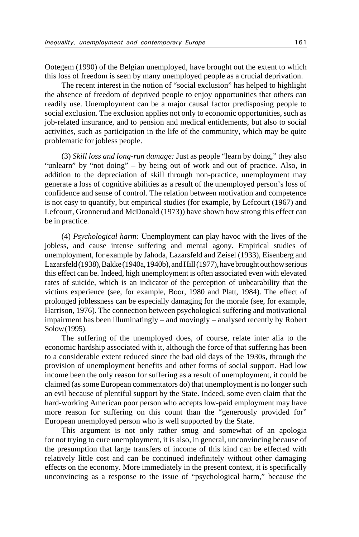Ootegem (1990) of the Belgian unemployed, have brought out the extent to which this loss of freedom is seen by many unemployed people as a crucial deprivation.

The recent interest in the notion of "social exclusion" has helped to highlight the absence of freedom of deprived people to enjoy opportunities that others can readily use. Unemployment can be a major causal factor predisposing people to social exclusion. The exclusion applies not only to economic opportunities, such as job-related insurance, and to pension and medical entitlements, but also to social activities, such as participation in the life of the community, which may be quite problematic for jobless people.

(3) *Skill loss and long-run damage:* Just as people "learn by doing," they also "unlearn" by "not doing" – by being out of work and out of practice. Also, in addition to the depreciation of skill through non-practice, unemployment may generate a loss of cognitive abilities as a result of the unemployed person's loss of confidence and sense of control. The relation between motivation and competence is not easy to quantify, but empirical studies (for example, by Lefcourt (1967) and Lefcourt, Gronnerud and McDonald (1973)) have shown how strong this effect can be in practice.

(4) *Psychological harm:* Unemployment can play havoc with the lives of the jobless, and cause intense suffering and mental agony. Empirical studies of unemployment, for example by Jahoda, Lazarsfeld and Zeisel (1933), Eisenberg and Lazarsfeld (1938), Bakke (1940a, 1940b), and Hill (1977), have brought out how serious this effect can be. Indeed, high unemployment is often associated even with elevated rates of suicide, which is an indicator of the perception of unbearability that the victims experience (see, for example, Boor, 1980 and Platt, 1984). The effect of prolonged joblessness can be especially damaging for the morale (see, for example, Harrison, 1976). The connection between psychological suffering and motivational impairment has been illuminatingly – and movingly – analysed recently by Robert Solow (1995).

The suffering of the unemployed does, of course, relate inter alia to the economic hardship associated with it, although the force of that suffering has been to a considerable extent reduced since the bad old days of the 1930s, through the provision of unemployment benefits and other forms of social support. Had low income been the only reason for suffering as a result of unemployment, it could be claimed (as some European commentators do) that unemployment is no longer such an evil because of plentiful support by the State. Indeed, some even claim that the hard-working American poor person who accepts low-paid employment may have more reason for suffering on this count than the "generously provided for" European unemployed person who is well supported by the State.

This argument is not only rather smug and somewhat of an apologia for not trying to cure unemployment, it is also, in general, unconvincing because of the presumption that large transfers of income of this kind can be effected with relatively little cost and can be continued indefinitely without other damaging effects on the economy. More immediately in the present context, it is specifically unconvincing as a response to the issue of "psychological harm," because the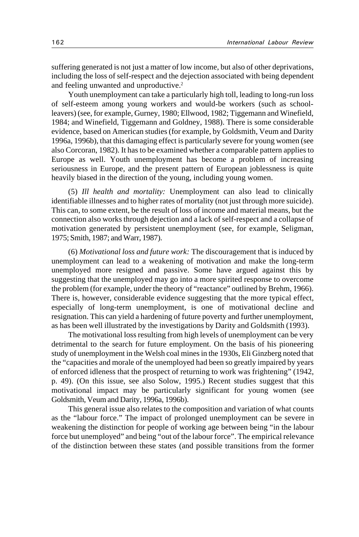suffering generated is not just a matter of low income, but also of other deprivations, including the loss of self-respect and the dejection associated with being dependent and feeling unwanted and unproductive.<sup>2</sup>

Youth unemployment can take a particularly high toll, leading to long-run loss of self-esteem among young workers and would-be workers (such as schoolleavers) (see, for example, Gurney, 1980; Ellwood, 1982; Tiggemann and Winefield, 1984; and Winefield, Tiggemann and Goldney, 1988). There is some considerable evidence, based on American studies (for example, by Goldsmith, Veum and Darity 1996a, 1996b), that this damaging effect is particularly severe for young women (see also Corcoran, 1982). It has to be examined whether a comparable pattern applies to Europe as well. Youth unemployment has become a problem of increasing seriousness in Europe, and the present pattern of European joblessness is quite heavily biased in the direction of the young, including young women.

(5) *Ill health and mortality:* Unemployment can also lead to clinically identifiable illnesses and to higher rates of mortality (not just through more suicide). This can, to some extent, be the result of loss of income and material means, but the connection also works through dejection and a lack of self-respect and a collapse of motivation generated by persistent unemployment (see, for example, Seligman, 1975; Smith, 1987; and Warr, 1987).

(6) *Motivational loss and future work:* The discouragement that is induced by unemployment can lead to a weakening of motivation and make the long-term unemployed more resigned and passive. Some have argued against this by suggesting that the unemployed may go into a more spirited response to overcome the problem (for example, under the theory of "reactance" outlined by Brehm, 1966). There is, however, considerable evidence suggesting that the more typical effect, especially of long-term unemployment, is one of motivational decline and resignation. This can yield a hardening of future poverty and further unemployment, as has been well illustrated by the investigations by Darity and Goldsmith (1993).

The motivational loss resulting from high levels of unemployment can be very detrimental to the search for future employment. On the basis of his pioneering study of unemployment in the Welsh coal mines in the 1930s, Eli Ginzberg noted that the "capacities and morale of the unemployed had been so greatly impaired by years of enforced idleness that the prospect of returning to work was frightening" (1942, p. 49). (On this issue, see also Solow, 1995.) Recent studies suggest that this motivational impact may be particularly significant for young women (see Goldsmith, Veum and Darity, 1996a, 1996b).

This general issue also relates to the composition and variation of what counts as the "labour force." The impact of prolonged unemployment can be severe in weakening the distinction for people of working age between being "in the labour force but unemployed" and being "out of the labour force". The empirical relevance of the distinction between these states (and possible transitions from the former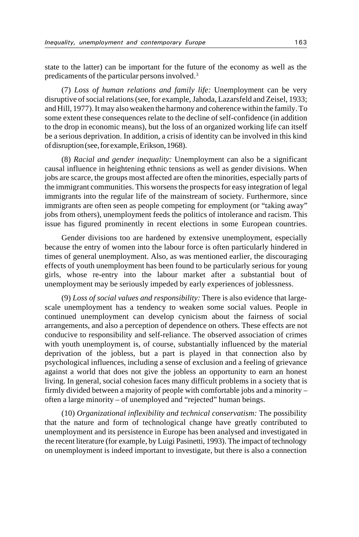state to the latter) can be important for the future of the economy as well as the predicaments of the particular persons involved.3

(7) *Loss of human relations and family life:* Unemployment can be very disruptive of social relations (see, for example, Jahoda, Lazarsfeld and Zeisel, 1933; and Hill, 1977). It may also weaken the harmony and coherence within the family. To some extent these consequences relate to the decline of self-confidence (in addition to the drop in economic means), but the loss of an organized working life can itself be a serious deprivation. In addition, a crisis of identity can be involved in this kind of disruption (see, for example, Erikson, 1968).

(8) *Racial and gender inequality:* Unemployment can also be a significant causal influence in heightening ethnic tensions as well as gender divisions. When jobs are scarce, the groups most affected are often the minorities, especially parts of the immigrant communities. This worsens the prospects for easy integration of legal immigrants into the regular life of the mainstream of society. Furthermore, since immigrants are often seen as people competing for employment (or "taking away" jobs from others), unemployment feeds the politics of intolerance and racism. This issue has figured prominently in recent elections in some European countries.

Gender divisions too are hardened by extensive unemployment, especially because the entry of women into the labour force is often particularly hindered in times of general unemployment. Also, as was mentioned earlier, the discouraging effects of youth unemployment has been found to be particularly serious for young girls, whose re-entry into the labour market after a substantial bout of unemployment may be seriously impeded by early experiences of joblessness.

(9) *Loss of social values and responsibility:* There is also evidence that largescale unemployment has a tendency to weaken some social values. People in continued unemployment can develop cynicism about the fairness of social arrangements, and also a perception of dependence on others. These effects are not conducive to responsibility and self-reliance. The observed association of crimes with youth unemployment is, of course, substantially influenced by the material deprivation of the jobless, but a part is played in that connection also by psychological influences, including a sense of exclusion and a feeling of grievance against a world that does not give the jobless an opportunity to earn an honest living. In general, social cohesion faces many difficult problems in a society that is firmly divided between a majority of people with comfortable jobs and a minority – often a large minority – of unemployed and "rejected" human beings.

(10) *Organizational inflexibility and technical conservatism:* The possibility that the nature and form of technological change have greatly contributed to unemployment and its persistence in Europe has been analysed and investigated in the recent literature (for example, by Luigi Pasinetti, 1993). The impact of technology on unemployment is indeed important to investigate, but there is also a connection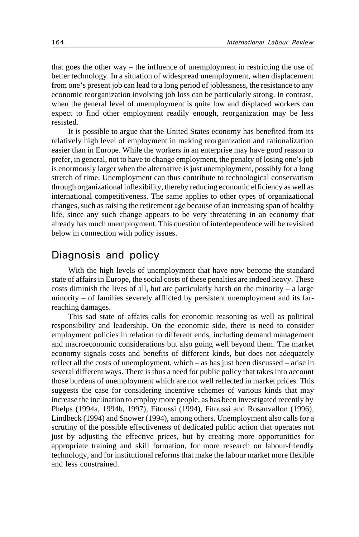that goes the other way – the influence of unemployment in restricting the use of better technology. In a situation of widespread unemployment, when displacement from one's present job can lead to a long period of joblessness, the resistance to any economic reorganization involving job loss can be particularly strong. In contrast, when the general level of unemployment is quite low and displaced workers can expect to find other employment readily enough, reorganization may be less resisted.

It is possible to argue that the United States economy has benefited from its relatively high level of employment in making reorganization and rationalization easier than in Europe. While the workers in an enterprise may have good reason to prefer, in general, not to have to change employment, the penalty of losing one's job is enormously larger when the alternative is just unemployment, possibly for a long stretch of time. Unemployment can thus contribute to technological conservatism through organizational inflexibility, thereby reducing economic efficiency as well as international competitiveness. The same applies to other types of organizational changes, such as raising the retirement age because of an increasing span of healthy life, since any such change appears to be very threatening in an economy that already has much unemployment. This question of interdependence will be revisited below in connection with policy issues.

### Diagnosis and policy

With the high levels of unemployment that have now become the standard state of affairs in Europe, the social costs of these penalties are indeed heavy. These costs diminish the lives of all, but are particularly harsh on the minority  $-$  a large minority – of families severely afflicted by persistent unemployment and its farreaching damages.

This sad state of affairs calls for economic reasoning as well as political responsibility and leadership. On the economic side, there is need to consider employment policies in relation to different ends, including demand management and macroeconomic considerations but also going well beyond them. The market economy signals costs and benefits of different kinds, but does not adequately reflect all the costs of unemployment, which – as has just been discussed – arise in several different ways. There is thus a need for public policy that takes into account those burdens of unemployment which are not well reflected in market prices. This suggests the case for considering incentive schemes of various kinds that may increase the inclination to employ more people, as has been investigated recently by Phelps (1994a, 1994b, 1997), Fitoussi (1994), Fitoussi and Rosanvallon (1996), Lindbeck (1994) and Snower (1994), among others. Unemployment also calls for a scrutiny of the possible effectiveness of dedicated public action that operates not just by adjusting the effective prices, but by creating more opportunities for appropriate training and skill formation, for more research on labour-friendly technology, and for institutional reforms that make the labour market more flexible and less constrained.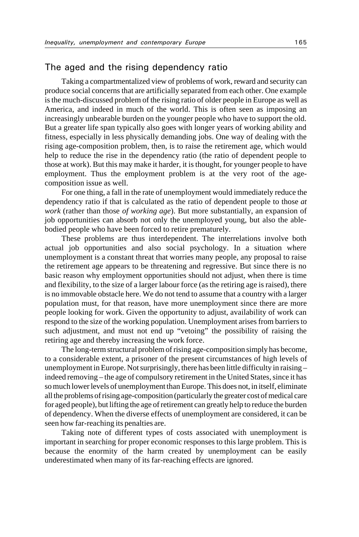### The aged and the rising dependency ratio

Taking a compartmentalized view of problems of work, reward and security can produce social concerns that are artificially separated from each other. One example is the much-discussed problem of the rising ratio of older people in Europe as well as America, and indeed in much of the world. This is often seen as imposing an increasingly unbearable burden on the younger people who have to support the old. But a greater life span typically also goes with longer years of working ability and fitness, especially in less physically demanding jobs. One way of dealing with the rising age-composition problem, then, is to raise the retirement age, which would help to reduce the rise in the dependency ratio (the ratio of dependent people to those at work). But this may make it harder, it is thought, for younger people to have employment. Thus the employment problem is at the very root of the agecomposition issue as well.

For one thing, a fall in the rate of unemployment would immediately reduce the dependency ratio if that is calculated as the ratio of dependent people to those *at work* (rather than those *of working age*). But more substantially, an expansion of job opportunities can absorb not only the unemployed young, but also the ablebodied people who have been forced to retire prematurely.

These problems are thus interdependent. The interrelations involve both actual job opportunities and also social psychology. In a situation where unemployment is a constant threat that worries many people, any proposal to raise the retirement age appears to be threatening and regressive. But since there is no basic reason why employment opportunities should not adjust, when there is time and flexibility, to the size of a larger labour force (as the retiring age is raised), there is no immovable obstacle here. We do not tend to assume that a country with a larger population must, for that reason, have more unemployment since there are more people looking for work. Given the opportunity to adjust, availability of work can respond to the size of the working population. Unemployment arises from barriers to such adjustment, and must not end up "vetoing" the possibility of raising the retiring age and thereby increasing the work force.

The long-term structural problem of rising age-composition simply has become, to a considerable extent, a prisoner of the present circumstances of high levels of unemployment in Europe. Not surprisingly, there has been little difficulty in raising – indeed removing – the age of compulsory retirement in the United States, since it has so much lower levels of unemployment than Europe. This does not, in itself, eliminate all the problems of rising age-composition (particularly the greater cost of medical care for aged people), but lifting the age of retirement can greatly help to reduce the burden of dependency. When the diverse effects of unemployment are considered, it can be seen how far-reaching its penalties are.

Taking note of different types of costs associated with unemployment is important in searching for proper economic responses to this large problem. This is because the enormity of the harm created by unemployment can be easily underestimated when many of its far-reaching effects are ignored.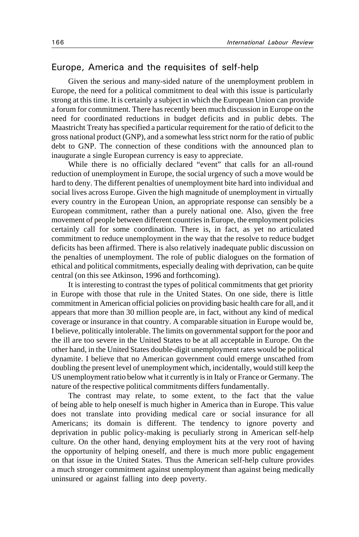### Europe, America and the requisites of self-help

Given the serious and many-sided nature of the unemployment problem in Europe, the need for a political commitment to deal with this issue is particularly strong at this time. It is certainly a subject in which the European Union can provide a forum for commitment. There has recently been much discussion in Europe on the need for coordinated reductions in budget deficits and in public debts. The Maastricht Treaty has specified a particular requirement for the ratio of deficit to the gross national product (GNP), and a somewhat less strict norm for the ratio of public debt to GNP. The connection of these conditions with the announced plan to inaugurate a single European currency is easy to appreciate.

While there is no officially declared "event" that calls for an all-round reduction of unemployment in Europe, the social urgency of such a move would be hard to deny. The different penalties of unemployment bite hard into individual and social lives across Europe. Given the high magnitude of unemployment in virtually every country in the European Union, an appropriate response can sensibly be a European commitment, rather than a purely national one. Also, given the free movement of people between different countries in Europe, the employment policies certainly call for some coordination. There is, in fact, as yet no articulated commitment to reduce unemployment in the way that the resolve to reduce budget deficits has been affirmed. There is also relatively inadequate public discussion on the penalties of unemployment. The role of public dialogues on the formation of ethical and political commitments, especially dealing with deprivation, can be quite central (on this see Atkinson, 1996 and forthcoming).

It is interesting to contrast the types of political commitments that get priority in Europe with those that rule in the United States. On one side, there is little commitment in American official policies on providing basic health care for all, and it appears that more than 30 million people are, in fact, without any kind of medical coverage or insurance in that country. A comparable situation in Europe would be, I believe, politically intolerable. The limits on governmental support for the poor and the ill are too severe in the United States to be at all acceptable in Europe. On the other hand, in the United States double-digit unemployment rates would be political dynamite. I believe that no American government could emerge unscathed from doubling the present level of unemployment which, incidentally, would still keep the US unemployment ratio below what it currently is in Italy or France or Germany. The nature of the respective political commitments differs fundamentally.

The contrast may relate, to some extent, to the fact that the value of being able to help oneself is much higher in America than in Europe. This value does not translate into providing medical care or social insurance for all Americans; its domain is different. The tendency to ignore poverty and deprivation in public policy-making is peculiarly strong in American self-help culture. On the other hand, denying employment hits at the very root of having the opportunity of helping oneself, and there is much more public engagement on that issue in the United States. Thus the American self-help culture provides a much stronger commitment against unemployment than against being medically uninsured or against falling into deep poverty.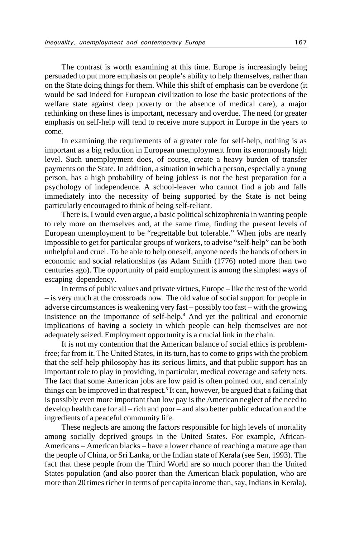The contrast is worth examining at this time. Europe is increasingly being persuaded to put more emphasis on people's ability to help themselves, rather than on the State doing things for them. While this shift of emphasis can be overdone (it would be sad indeed for European civilization to lose the basic protections of the welfare state against deep poverty or the absence of medical care), a major rethinking on these lines is important, necessary and overdue. The need for greater emphasis on self-help will tend to receive more support in Europe in the years to come.

In examining the requirements of a greater role for self-help, nothing is as important as a big reduction in European unemployment from its enormously high level. Such unemployment does, of course, create a heavy burden of transfer payments on the State. In addition, a situation in which a person, especially a young person, has a high probability of being jobless is not the best preparation for a psychology of independence. A school-leaver who cannot find a job and falls immediately into the necessity of being supported by the State is not being particularly encouraged to think of being self-reliant.

There is, I would even argue, a basic political schizophrenia in wanting people to rely more on themselves and, at the same time, finding the present levels of European unemployment to be "regrettable but tolerable." When jobs are nearly impossible to get for particular groups of workers, to advise "self-help" can be both unhelpful and cruel. To be able to help oneself, anyone needs the hands of others in economic and social relationships (as Adam Smith (1776) noted more than two centuries ago). The opportunity of paid employment is among the simplest ways of escaping dependency.

In terms of public values and private virtues, Europe – like the rest of the world – is very much at the crossroads now. The old value of social support for people in adverse circumstances is weakening very fast – possibly too fast – with the growing insistence on the importance of self-help.4 And yet the political and economic implications of having a society in which people can help themselves are not adequately seized. Employment opportunity is a crucial link in the chain.

It is not my contention that the American balance of social ethics is problemfree; far from it. The United States, in its turn, has to come to grips with the problem that the self-help philosophy has its serious limits, and that public support has an important role to play in providing, in particular, medical coverage and safety nets. The fact that some American jobs are low paid is often pointed out, and certainly things can be improved in that respect.<sup>5</sup> It can, however, be argued that a failing that is possibly even more important than low pay is the American neglect of the need to develop health care for all – rich and poor – and also better public education and the ingredients of a peaceful community life.

These neglects are among the factors responsible for high levels of mortality among socially deprived groups in the United States. For example, African-Americans – American blacks – have a lower chance of reaching a mature age than the people of China, or Sri Lanka, or the Indian state of Kerala (see Sen, 1993). The fact that these people from the Third World are so much poorer than the United States population (and also poorer than the American black population, who are more than 20 times richer in terms of per capita income than, say, Indians in Kerala),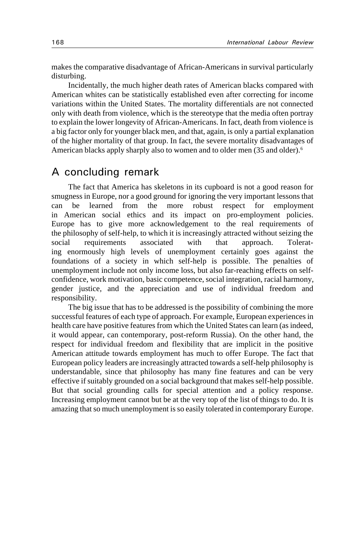makes the comparative disadvantage of African-Americans in survival particularly disturbing.

Incidentally, the much higher death rates of American blacks compared with American whites can be statistically established even after correcting for income variations within the United States. The mortality differentials are not connected only with death from violence, which is the stereotype that the media often portray to explain the lower longevity of African-Americans. In fact, death from violence is a big factor only for younger black men, and that, again, is only a partial explanation of the higher mortality of that group. In fact, the severe mortality disadvantages of American blacks apply sharply also to women and to older men (35 and older).<sup>6</sup>

### A concluding remark

The fact that America has skeletons in its cupboard is not a good reason for smugness in Europe, nor a good ground for ignoring the very important lessons that can be learned from the more robust respect for employment in American social ethics and its impact on pro-employment policies. Europe has to give more acknowledgement to the real requirements of the philosophy of self-help, to which it is increasingly attracted without seizing the social requirements associated with that approach. Tolerating enormously high levels of unemployment certainly goes against the foundations of a society in which self-help is possible. The penalties of unemployment include not only income loss, but also far-reaching effects on selfconfidence, work motivation, basic competence, social integration, racial harmony, gender justice, and the appreciation and use of individual freedom and responsibility.

The big issue that has to be addressed is the possibility of combining the more successful features of each type of approach. For example, European experiences in health care have positive features from which the United States can learn (as indeed, it would appear, can contemporary, post-reform Russia). On the other hand, the respect for individual freedom and flexibility that are implicit in the positive American attitude towards employment has much to offer Europe. The fact that European policy leaders are increasingly attracted towards a self-help philosophy is understandable, since that philosophy has many fine features and can be very effective if suitably grounded on a social background that makes self-help possible. But that social grounding calls for special attention and a policy response. Increasing employment cannot but be at the very top of the list of things to do. It is amazing that so much unemployment is so easily tolerated in contemporary Europe.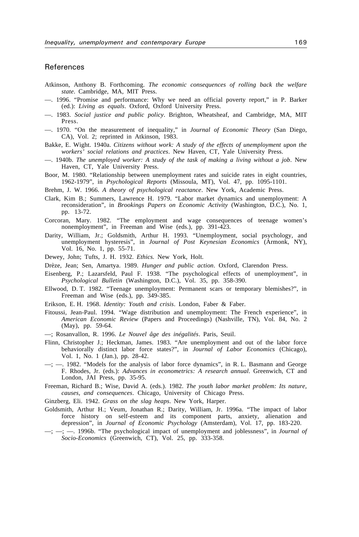#### References

- Atkinson, Anthony B. Forthcoming. *The economic consequences of rolling back the welfare state*. Cambridge, MA, MIT Press.
- ––. 1996. "Promise and performance: Why we need an official poverty report," in P. Barker (ed.): *Living as equals*. Oxford, Oxford University Press.
- ––. 1983. *Social justice and public policy*. Brighton, Wheatsheaf, and Cambridge, MA, MIT Press.
- ––. 1970. "On the measurement of inequality," in *Journal of Economic Theory* (San Diego, CA), Vol. 2; reprinted in Atkinson, 1983.
- Bakke, E. Wight. 1940a. *Citizens without work: A study of the effects of unemployment upon the workers' social relations and practices*. New Haven, CT, Yale University Press.
- ––. 1940b. *The unemployed worker: A study of the task of making a living without a job*. New Haven, CT, Yale University Press.
- Boor, M. 1980. "Relationship between unemployment rates and suicide rates in eight countries, 1962-1979", in *Psychological Reports* (Missoula, MT), Vol. 47, pp. 1095-1101.
- Brehm, J. W. 1966. *A theory of psychological reactance*. New York, Academic Press.
- Clark, Kim B.; Summers, Lawrence H. 1979. "Labor market dynamics and unemployment: A reconsideration", in *Brookings Papers on Economic Activity* (Washington, D.C.), No. 1, pp. 13-72.
- Corcoran, Mary. 1982. "The employment and wage consequences of teenage women's nonemployment", in Freeman and Wise (eds.), pp. 391-423.
- Darity, William, Jr.; Goldsmith, Arthur H. 1993. "Unemployment, social psychology, and unemployment hysteresis", in *Journal of Post Keynesian Economics* (Armonk, NY), Vol. 16, No. 1, pp. 55-71.
- Dewey, John; Tufts, J. H. 1932. *Ethics.* New York, Holt.
- Drèze, Jean; Sen, Amartya. 1989. *Hunger and public action*. Oxford, Clarendon Press.
- Eisenberg, P.; Lazarsfeld, Paul F. 1938. "The psychological effects of unemployment", in *Psychological Bulletin* (Washington, D.C.), Vol. 35, pp. 358-390.
- Ellwood, D. T. 1982. "Teenage unemployment: Permanent scars or temporary blemishes?", in Freeman and Wise (eds.), pp. 349-385.
- Erikson, E. H. 1968. *Identity: Youth and crisis*. London, Faber & Faber.
- Fitoussi, Jean-Paul. 1994. "Wage distribution and unemployment: The French experience", in *American Economic Review* (Papers and Proceedings) (Nashville, TN), Vol. 84, No. 2 (May), pp. 59-64.
- ––; Rosanvallon, R. 1996. *Le Nouvel âge des inégalités*. Paris, Seuil.
- Flinn, Christopher J.; Heckman, James. 1983. "Are unemployment and out of the labor force behaviorally distinct labor force states?", in *Journal of Labor Economics* (Chicago), Vol. 1, No. 1 (Jan.), pp. 28-42.
- ––; ––. 1982. "Models for the analysis of labor force dynamics", in R. L. Basmann and George F. Rhodes, Jr. (eds.): *Advances in econometrics: A research annual*. Greenwich, CT and London, JAI Press, pp. 35-95.
- Freeman, Richard B.; Wise, David A. (eds.). 1982. *The youth labor market problem: Its nature, causes, and consequences*. Chicago, University of Chicago Press.
- Ginzberg, Eli. 1942. *Grass on the slag heaps*. New York, Harper.
- Goldsmith, Arthur H.; Veum, Jonathan R.; Darity, William, Jr. 1996a. "The impact of labor force history on self-esteem and its component parts, anxiety, alienation and depression", in *Journal of Economic Psychology* (Amsterdam), Vol. 17, pp. 183-220.
- $-$ ;  $-$ ;  $-$ . 1996b. "The psychological impact of unemployment and joblessness", in *Journal of Socio-Economics* (Greenwich, CT), Vol. 25, pp. 333-358.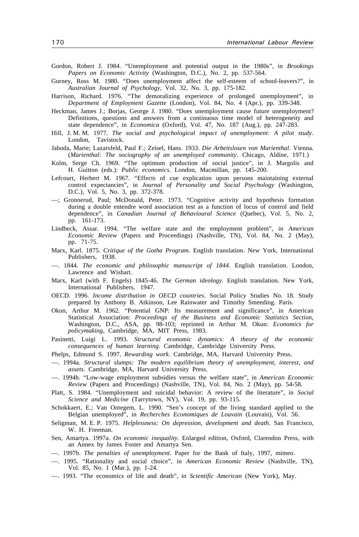- Gordon, Robert J. 1984. "Unemployment and potential output in the 1980s", in *Brookings Papers on Economic Activity* (Washington, D.C.), No. 2, pp. 537-564.
- Gurney, Ross M. 1980. "Does unemployment affect the self-esteem of school-leavers?", in *Australian Journal of Psychology*, Vol. 32, No. 3, pp. 175-182.
- Harrison, Richard. 1976. "The demoralizing experience of prolonged unemployment", in *Department of Employment Gazette* (London), Vol. 84, No. 4 (Apr.), pp. 339-348.
- Heckman, James J.; Borjas, George J. 1980. "Does unemployment cause future unemployment? Definitions, questions and answers from a continuous time model of heterogeneity and state dependence", in *Economica* (Oxford), Vol. 47, No. 187 (Aug.), pp. 247-283.
- Hill, J. M. M. 1977. *The social and psychological impact of unemployment: A pilot study*. London, Tavistock.
- Jahoda, Marie; Lazarsfeld, Paul F.; Zeisel, Hans. 1933. *Die Arbeitslosen von Marienthal*. Vienna. (*Marienthal: The sociography of an unemployed community*. Chicago, Aldine, 1971.)
- Kolm, Serge Ch. 1969. "The optimum production of social justice", in J. Margolis and H. Guitton (eds.): *Public economics*. London, Macmillan, pp. 145-200.
- Lefcourt, Herbert M. 1967. "Effects of cue explication upon persons maintaining external control expectancies", in *Journal of Personality and Social Psychology* (Washington, D.C.), Vol. 5, No. 3, pp. 372-378.
- ––; Gronnerud, Paul; McDonald, Peter. 1973. "Cognitive activity and hypothesis formation during a double entendre word association test as a function of locus of control and field dependence", in *Canadian Journal of Behavioural Science* (Quebec), Vol. 5, No. 2, pp. 161-173.
- Lindbeck, Assar. 1994. "The welfare state and the employment problem", in *American Economic Review* (Papers and Proceedings) (Nashville, TN), Vol. 84, No. 2 (May), pp. 71-75.
- Marx, Karl. 1875. *Critique of the Gotha Program*. English translation. New York, International Publishers, 1938.
- ––. 1844. *The economic and philosophic manuscript of 1844*. English translation. London, Lawrence and Wishart.
- Marx, Karl (with F. Engels) 1845-46. *The German ideology*. English translation. New York, International Publishers, 1947.
- OECD. 1996. *Income distribution in OECD countries*. Social Policy Studies No. 18. Study prepared by Anthony B. Atkinson, Lee Rainwater and Timothy Smeeding. Paris.
- Okun, Arthur M. 1962. "Potential GNP: Its measurement and significance", in American Statistical Association: *Proceedings of the Business and Economic Statistics Section*, Washington, D.C., ASA, pp. 98-103; reprinted in Arthur M. Okun: *Economics for policymaking*, Cambridge, MA, MIT Press, 1983.
- Pasinetti, Luigi L. 1993. *Structural economic dynamics: A theory of the economic consequences of human learning*. Cambridge, Cambridge University Press.
- Phelps, Edmund S. 1997. *Rewarding work*. Cambridge, MA, Harvard University Press.
- ––. 1994a. *Structural slumps: The modern equilibrium theory of unemployment, interest, and assets*. Cambridge, MA, Harvard University Press.
- ––. 1994b. "Low-wage employment subsidies versus the welfare state", in *American Economic Review* (Papers and Proceedings) (Nashville, TN), Vol. 84, No. 2 (May), pp. 54-58.
- Platt, S. 1984. "Unemployment and suicidal behavior: A review of the literature", in *Social Science and Medicine* (Tarrytown, NY), Vol. 19, pp. 93-115.
- Schokkaert, E.; Van Ootegem, L. 1990. "Sen's concept of the living standard applied to the Belgian unemployed", in *Recherches Economiques de Louvain* (Louvain), Vol. 56.
- Seligman, M. E. P. 1975. *Helplessness: On depression, development and death*. San Francisco, W. H. Freeman.
- Sen, Amartya. 1997a. *On economic inequality*. Enlarged edition, Oxford, Clarendon Press, with an Annex by James Foster and Amartya Sen.
- ––. 1997b. *The penalties of unemployment*. Paper for the Bank of Italy, 1997, mimeo.
- ––. 1995. "Rationality and social choice", in *American Economic Review* (Nashville, TN), Vol. 85, No. 1 (Mar.), pp. 1-24.
- ––. 1993. "The economics of life and death", in *Scientific American* (New York), May.